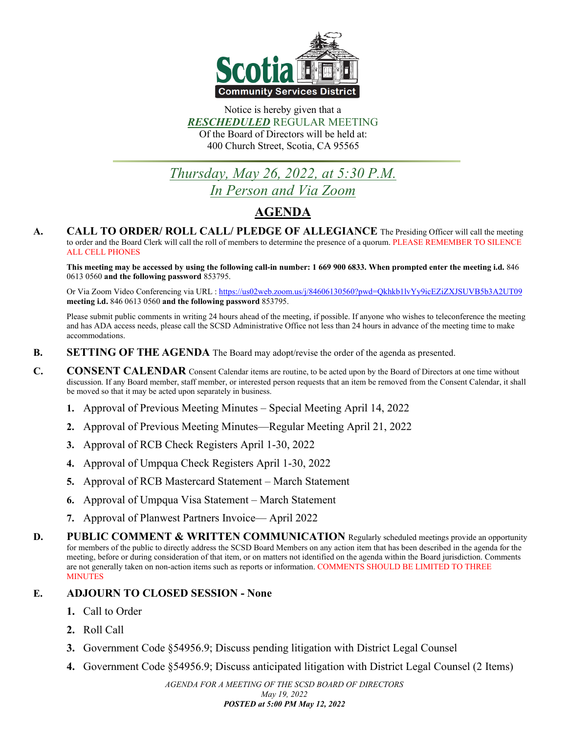

Notice is hereby given that a *RESCHEDULED* REGULAR MEETING Of the Board of Directors will be held at: 400 Church Street, Scotia, CA 95565

# *Thursday, May 26, 2022, at 5:30 P.M. In Person and Via Zoom*

# **AGENDA**

**A. CALL TO ORDER/ ROLL CALL/ PLEDGE OF ALLEGIANCE** The Presiding Officer will call the meeting to order and the Board Clerk will call the roll of members to determine the presence of a quorum. PLEASE REMEMBER TO SILENCE ALL CELL PHONES

**This meeting may be accessed by using the following call-in number: 1 669 900 6833. When prompted enter the meeting i.d.** 846 0613 0560 **and the following password** 853795.

Or Via Zoom Video Conferencing via URL [: https://us02web.zoom.us/j/84606130560?pwd=Qkhkb1lvYy9icEZiZXJSUVB5b3A2UT09](https://us02web.zoom.us/j/84606130560?pwd=Qkhkb1lvYy9icEZiZXJSUVB5b3A2UT09) **meeting i.d.** 846 0613 0560 **and the following password** 853795.

Please submit public comments in writing 24 hours ahead of the meeting, if possible. If anyone who wishes to teleconference the meeting and has ADA access needs, please call the SCSD Administrative Office not less than 24 hours in advance of the meeting time to make accommodations.

- **B. SETTING OF THE AGENDA** The Board may adopt/revise the order of the agenda as presented.
- **C. CONSENT CALENDAR** Consent Calendar items are routine, to be acted upon by the Board of Directors at one time without discussion. If any Board member, staff member, or interested person requests that an item be removed from the Consent Calendar, it shall be moved so that it may be acted upon separately in business.
	- **1.** Approval of Previous Meeting Minutes Special Meeting April 14, 2022
	- **2.** Approval of Previous Meeting Minutes—Regular Meeting April 21, 2022
	- **3.** Approval of RCB Check Registers April 1-30, 2022
	- **4.** Approval of Umpqua Check Registers April 1-30, 2022
	- **5.** Approval of RCB Mastercard Statement March Statement
	- **6.** Approval of Umpqua Visa Statement March Statement
	- **7.** Approval of Planwest Partners Invoice— April 2022
- **D. PUBLIC COMMENT & WRITTEN COMMUNICATION** Regularly scheduled meetings provide an opportunity for members of the public to directly address the SCSD Board Members on any action item that has been described in the agenda for the meeting, before or during consideration of that item, or on matters not identified on the agenda within the Board jurisdiction. Comments are not generally taken on non-action items such as reports or information. COMMENTS SHOULD BE LIMITED TO THREE **MINUTES**

#### **E. ADJOURN TO CLOSED SESSION - None**

- **1.** Call to Order
- **2.** Roll Call
- **3.** Government Code §54956.9; Discuss pending litigation with District Legal Counsel
- **4.** Government Code §54956.9; Discuss anticipated litigation with District Legal Counsel (2 Items)

*AGENDA FOR A MEETING OF THE SCSD BOARD OF DIRECTORS May 19, 2022 POSTED at 5:00 PM May 12, 2022*